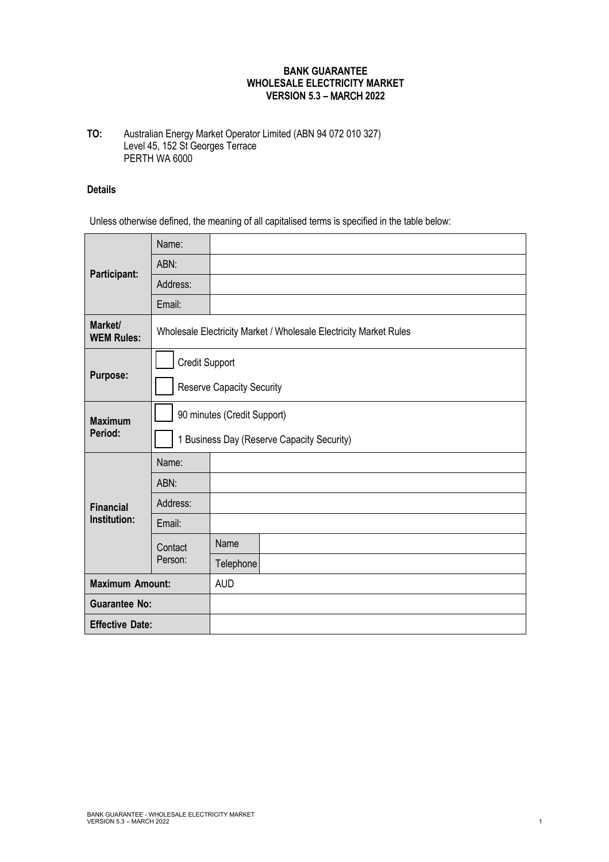## **BANK GUARANTEE WHOLESALE ELECTRICITY MARKET VERSION 5.3 –** MARCH **2022**

## **TO:** Australian Energy Market Operator Limited (ABN 94 072 010 327) Level 45, 152 St Georges Terrace PERTH WA 6000

## **Details**

Unless otherwise defined, the meaning of all capitalised terms is specified in the table below:

| Participant:                     | Name:                                                             |            |  |
|----------------------------------|-------------------------------------------------------------------|------------|--|
|                                  | ABN:                                                              |            |  |
|                                  | Address:                                                          |            |  |
|                                  | Email:                                                            |            |  |
| Market/<br><b>WEM Rules:</b>     | Wholesale Electricity Market / Wholesale Electricity Market Rules |            |  |
| Purpose:                         | <b>Credit Support</b>                                             |            |  |
|                                  | <b>Reserve Capacity Security</b>                                  |            |  |
| <b>Maximum</b><br>Period:        | 90 minutes (Credit Support)                                       |            |  |
|                                  | 1 Business Day (Reserve Capacity Security)                        |            |  |
| <b>Financial</b><br>Institution: | Name:                                                             |            |  |
|                                  | ABN:                                                              |            |  |
|                                  | Address:                                                          |            |  |
|                                  | Email:                                                            |            |  |
|                                  | Contact<br>Person:                                                | Name       |  |
|                                  |                                                                   | Telephone  |  |
| <b>Maximum Amount:</b>           |                                                                   | <b>AUD</b> |  |
| <b>Guarantee No:</b>             |                                                                   |            |  |
| <b>Effective Date:</b>           |                                                                   |            |  |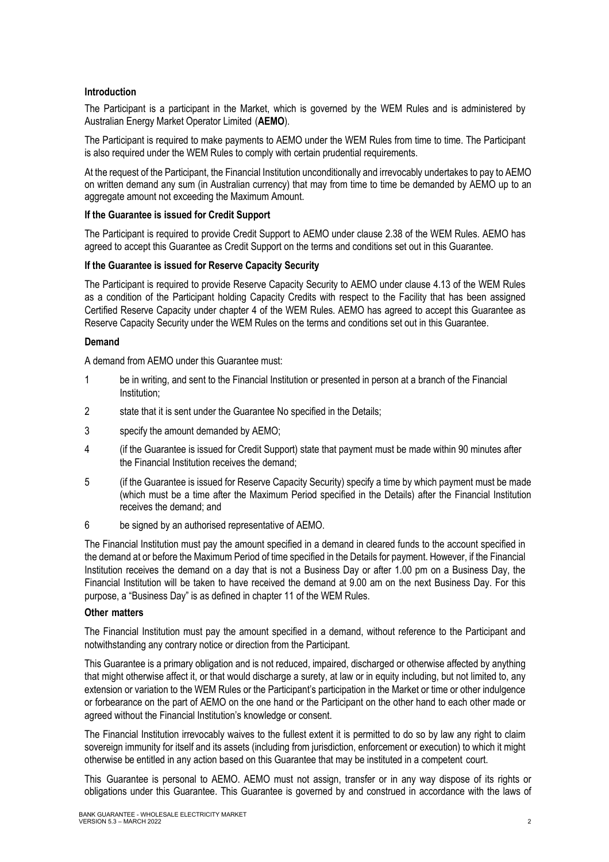## **Introduction**

The Participant is a participant in the Market, which is governed by the WEM Rules and is administered by Australian Energy Market Operator Limited (**AEMO**).

The Participant is required to make payments to AEMO under the WEM Rules from time to time. The Participant is also required under the WEM Rules to comply with certain prudential requirements.

At the request of the Participant, the Financial Institution unconditionally and irrevocably undertakes to pay to AEMO on written demand any sum (in Australian currency) that may from time to time be demanded by AEMO up to an aggregate amount not exceeding the Maximum Amount.

## **If the Guarantee is issued for Credit Support**

The Participant is required to provide Credit Support to AEMO under clause 2.38 of the WEM Rules. AEMO has agreed to accept this Guarantee as Credit Support on the terms and conditions set out in this Guarantee.

# **If the Guarantee is issued for Reserve Capacity Security**

The Participant is required to provide Reserve Capacity Security to AEMO under clause 4.13 of the WEM Rules as a condition of the Participant holding Capacity Credits with respect to the Facility that has been assigned Certified Reserve Capacity under chapter 4 of the WEM Rules. AEMO has agreed to accept this Guarantee as Reserve Capacity Security under the WEM Rules on the terms and conditions set out in this Guarantee.

## **Demand**

A demand from AEMO under this Guarantee must:

- 1 be in writing, and sent to the Financial Institution or presented in person at a branch of the Financial Institution;
- 2 state that it is sent under the Guarantee No specified in the Details;
- 3 specify the amount demanded by AEMO;
- 4 (if the Guarantee is issued for Credit Support) state that payment must be made within 90 minutes after the Financial Institution receives the demand;
- 5 (if the Guarantee is issued for Reserve Capacity Security) specify a time by which payment must be made (which must be a time after the Maximum Period specified in the Details) after the Financial Institution receives the demand; and
- 6 be signed by an authorised representative of AEMO.

The Financial Institution must pay the amount specified in a demand in cleared funds to the account specified in the demand at or before the Maximum Period of time specified in the Details for payment. However, if the Financial Institution receives the demand on a day that is not a Business Day or after 1.00 pm on a Business Day, the Financial Institution will be taken to have received the demand at 9.00 am on the next Business Day. For this purpose, a "Business Day" is as defined in chapter 11 of the WEM Rules.

## **Other matters**

The Financial Institution must pay the amount specified in a demand, without reference to the Participant and notwithstanding any contrary notice or direction from the Participant.

This Guarantee is a primary obligation and is not reduced, impaired, discharged or otherwise affected by anything that might otherwise affect it, or that would discharge a surety, at law or in equity including, but not limited to, any extension or variation to the WEM Rules or the Participant's participation in the Market or time or other indulgence or forbearance on the part of AEMO on the one hand or the Participant on the other hand to each other made or agreed without the Financial Institution's knowledge or consent.

The Financial Institution irrevocably waives to the fullest extent it is permitted to do so by law any right to claim sovereign immunity for itself and its assets (including from jurisdiction, enforcement or execution) to which it might otherwise be entitled in any action based on this Guarantee that may be instituted in a competent court.

This Guarantee is personal to AEMO. AEMO must not assign, transfer or in any way dispose of its rights or obligations under this Guarantee. This Guarantee is governed by and construed in accordance with the laws of